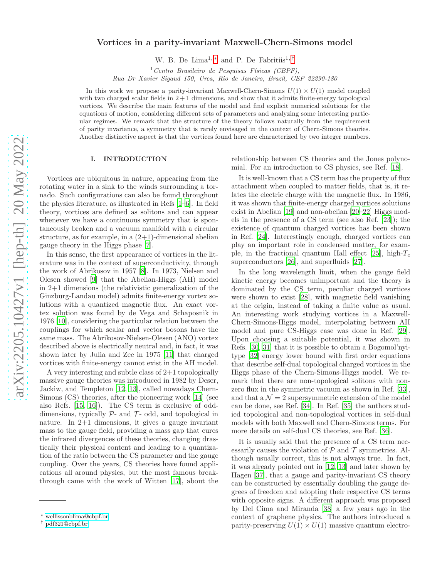# arXiv:2205.10427v1 [hep-th] 20 May 2022 [arXiv:2205.10427v1 \[hep-th\] 20 May 2022](http://arxiv.org/abs/2205.10427v1)

# Vortices in a parity-invariant Maxwell-Chern-Simons model

W. B. De Lima<sup>1,\*</sup> and P. De Fabritiis<sup>1,[†](#page-0-1)</sup>

 $1$ Centro Brasileiro de Pesquisas Físicas (CBPF),

Rua Dr Xavier Sigaud 150, Urca, Rio de Janeiro, Brazil, CEP 22290-180

In this work we propose a parity-invariant Maxwell-Chern-Simons  $U(1) \times U(1)$  model coupled with two charged scalar fields in  $2+1$  dimensions, and show that it admits finite-energy topological vortices. We describe the main features of the model and find explicit numerical solutions for the equations of motion, considering different sets of parameters and analyzing some interesting particular regimes. We remark that the structure of the theory follows naturally from the requirement of parity invariance, a symmetry that is rarely envisaged in the context of Chern-Simons theories. Another distinctive aspect is that the vortices found here are characterized by two integer numbers.

# I. INTRODUCTION

Vortices are ubiquitous in nature, appearing from the rotating water in a sink to the winds surrounding a tornado. Such configurations can also be found throughout the physics literature, as illustrated in Refs [\[1](#page-13-0)[–6](#page-13-1)]. In field theory, vortices are defined as solitons and can appear whenever we have a continuous symmetry that is spontaneously broken and a vacuum manifold with a circular structure, as for example, in a  $(2+1)$ -dimensional abelian gauge theory in the Higgs phase [\[7](#page-13-2)].

In this sense, the first appearance of vortices in the literature was in the context of superconductivity, through the work of Abrikosov in 1957 [\[8](#page-13-3)]. In 1973, Nielsen and Olesen showed [\[9\]](#page-13-4) that the Abelian-Higgs (AH) model in 2+1 dimensions (the relativistic generalization of the Ginzburg-Landau model) admits finite-energy vortex solutions with a quantized magnetic flux. An exact vortex solution was found by de Vega and Schaposnik in 1976 [\[10\]](#page-13-5), considering the particular relation between the couplings for which scalar and vector bosons have the same mass. The Abrikosov-Nielsen-Olesen (ANO) vortex described above is electrically neutral and, in fact, it was shown later by Julia and Zee in 1975 [\[11\]](#page-13-6) that charged vortices with finite-energy cannot exist in the AH model.

A very interesting and subtle class of 2+1 topologically massive gauge theories was introduced in 1982 by Deser, Jackiw, and Templeton [\[12](#page-13-7), [13](#page-13-8)], called nowadays Chern-Simons (CS) theories, after the pioneering work [\[14\]](#page-13-9) (see also Refs. [\[15,](#page-13-10) [16](#page-14-0)]). The CS term is exclusive of odddimensions, typically  $P$ - and  $T$ - odd, and topological in nature. In 2+1 dimensions, it gives a gauge invariant mass to the gauge field, providing a mass gap that cures the infrared divergences of these theories, changing drastically their physical content and leading to a quantization of the ratio between the CS parameter and the gauge coupling. Over the years, CS theories have found applications all around physics, but the most famous breakthrough came with the work of Witten [\[17\]](#page-14-1), about the relationship between CS theories and the Jones polynomial. For an introduction to CS physics, see Ref. [\[18\]](#page-14-2).

It is well-known that a CS term has the property of flux attachment when coupled to matter fields, that is, it relates the electric charge with the magnetic flux. In 1986, it was shown that finite-energy charged vortices solutions exist in Abelian [\[19\]](#page-14-3) and non-abelian [\[20](#page-14-4)[–22\]](#page-14-5) Higgs models in the presence of a CS term (see also Ref. [\[23](#page-14-6)]); the existence of quantum charged vortices has been shown in Ref. [\[24\]](#page-14-7). Interestingly enough, charged vortices can play an important role in condensed matter, for exam-ple, in the fractional quantum Hall effect [\[25\]](#page-14-8), high- $T_c$ superconductors [\[26\]](#page-14-9), and superfluids [\[27\]](#page-14-10).

In the long wavelength limit, when the gauge field kinetic energy becomes unimportant and the theory is dominated by the CS term, peculiar charged vortices were shown to exist [\[28](#page-14-11)], with magnetic field vanishing at the origin, instead of taking a finite value as usual. An interesting work studying vortices in a Maxwell-Chern-Simons-Higgs model, interpolating between AH model and pure CS-Higgs case was done in Ref. [\[29\]](#page-14-12). Upon choosing a suitable potential, it was shown in Refs. [\[30](#page-14-13), [31](#page-14-14)] that it is possible to obtain a Bogomol'nyitype [\[32\]](#page-14-15) energy lower bound with first order equations that describe self-dual topological charged vortices in the Higgs phase of the Chern-Simons-Higgs model. We remark that there are non-topological solitons with nonzero flux in the symmetric vacuum as shown in Ref. [\[33\]](#page-14-16), and that  $a \mathcal{N} = 2$  supersymmetric extension of the model can be done, see Ref. [\[34\]](#page-14-17). In Ref. [\[35\]](#page-14-18) the authors studied topological and non-topological vortices in self-dual models with both Maxwell and Chern-Simons terms. For more details on self-dual CS theories, see Ref. [\[36\]](#page-14-19).

It is usually said that the presence of a CS term necessarily causes the violation of  $P$  and  $T$  symmetries. Although usually correct, this is not always true. In fact, it was already pointed out in [\[12,](#page-13-7) [13\]](#page-13-8) and later shown by Hagen [\[37\]](#page-14-20), that a gauge and parity-invariant CS theory can be constructed by essentially doubling the gauge degrees of freedom and adopting their respective CS terms with opposite signs. A different approach was proposed by Del Cima and Miranda [\[38\]](#page-14-21) a few years ago in the context of graphene physics. The authors introduced a parity-preserving  $U(1) \times U(1)$  massive quantum electro-

<span id="page-0-0"></span><sup>∗</sup> [wellissonblima@cbpf.br](mailto:wellissonblima@cbpf.br)

<span id="page-0-1"></span><sup>†</sup> [pdf321@cbpf.br](mailto:pdf321@cbpf.br)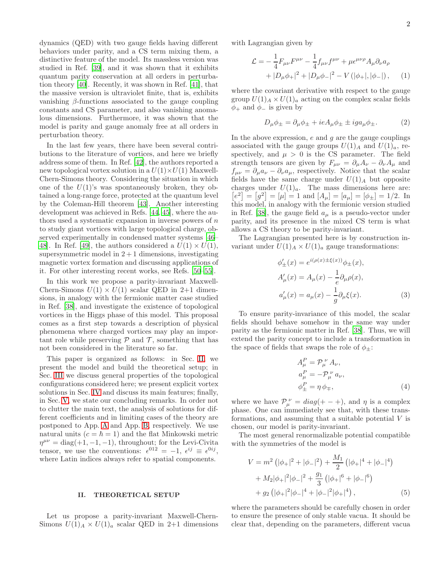dynamics (QED) with two gauge fields having different behaviors under parity, and a CS term mixing them, a distinctive feature of the model. Its massless version was studied in Ref. [\[39\]](#page-14-22), and it was shown that it exhibits quantum parity conservation at all orders in perturbation theory [\[40\]](#page-14-23). Recently, it was shown in Ref. [\[41](#page-14-24)], that the massive version is ultraviolet finite, that is, exhibits vanishing β-functions associated to the gauge coupling constants and CS parameter, and also vanishing anomalous dimensions. Furthermore, it was shown that the model is parity and gauge anomaly free at all orders in perturbation theory.

In the last few years, there have been several contributions to the literature of vortices, and here we briefly address some of them. In Ref. [\[42\]](#page-14-25), the authors reported a new topological vortex solution in a  $U(1) \times U(1)$  Maxwell-Chern-Simons theory. Considering the situation in which one of the  $U(1)$ 's was spontaneously broken, they obtained a long-range force, protected at the quantum level by the Coleman-Hill theorem [\[43\]](#page-14-26). Another interesting development was achieved in Refs. [\[44,](#page-14-27) [45](#page-14-28)], where the authors used a systematic expansion in inverse powers of  $n$ to study giant vortices with large topological charge, observed experimentally in condensed matter systems [\[46](#page-14-29)– 48. In Ref. [\[49\]](#page-14-31), the authors considered a  $U(1) \times U(1)$ , supersymmetric model in  $2+1$  dimensions, investigating magnetic vortex formation and discussing applications of it. For other interesting recent works, see Refs. [\[50](#page-14-32)[–55](#page-14-33)].

In this work we propose a parity-invariant Maxwell-Chern-Simons  $U(1) \times U(1)$  scalar QED in 2+1 dimensions, in analogy with the fermionic matter case studied in Ref. [\[38](#page-14-21)], and investigate the existence of topological vortices in the Higgs phase of this model. This proposal comes as a first step towards a description of physical phenomena where charged vortices may play an important role while preserving  $P$  and  $T$ , something that has not been considered in the literature so far.

This paper is organized as follows: in Sec. [II,](#page-1-0) we present the model and build the theoretical setup; in Sec. [III](#page-3-0) we discuss general properties of the topological configurations considered here; we present explicit vortex solutions in Sec. [IV](#page-5-0) and discuss its main features; finally, in Sec. [V,](#page-9-0) we state our concluding remarks. In order not to clutter the main text, the analysis of solutions for different coefficients and in limiting cases of the theory are postponed to App. [A](#page-9-1) and App. [B,](#page-10-0) respectively. We use natural units  $(c = \hbar = 1)$  and the flat Minkowski metric  $\eta^{\mu\nu} = \text{diag}(+1, -1, -1)$ , throughout; for the Levi-Civita tensor, we use the conventions:  $\epsilon^{012} = -1$ ,  $\epsilon^{ij} \equiv \epsilon^{0ij}$ , where Latin indices always refer to spatial components.

## <span id="page-1-0"></span>II. THEORETICAL SETUP

Let us propose a parity-invariant Maxwell-Chern-Simons  $U(1)_A \times U(1)_a$  scalar QED in 2+1 dimensions with Lagrangian given by

$$
\mathcal{L} = -\frac{1}{4} F_{\mu\nu} F^{\mu\nu} - \frac{1}{4} f_{\mu\nu} f^{\mu\nu} + \mu \epsilon^{\mu\nu\rho} A_{\mu} \partial_{\nu} a_{\rho} \n+ |D_{\mu} \phi_+|^2 + |D_{\mu} \phi_-|^2 - V (|\phi_+|, |\phi_-|) , \quad (1)
$$

where the covariant derivative with respect to the gauge group  $U(1)_A \times U(1)_a$  acting on the complex scalar fields  $\phi_+$  and  $\phi_-$  is given by

$$
D_{\mu}\phi_{\pm} = \partial_{\mu}\phi_{\pm} + ieA_{\mu}\phi_{\pm} \pm iga_{\mu}\phi_{\pm}.
$$
 (2)

In the above expression,  $e$  and  $g$  are the gauge couplings associated with the gauge groups  $U(1)_A$  and  $U(1)_a$ , respectively, and  $\mu > 0$  is the CS parameter. The field strength tensors are given by  $F_{\mu\nu} = \partial_{\mu}A_{\nu} - \partial_{\nu}A_{\mu}$  and  $f_{\mu\nu} = \partial_{\mu} a_{\nu} - \partial_{\nu} a_{\mu}$ , respectively. Notice that the scalar fields have the same charge under  $U(1)_A$  but opposite charges under  $U(1)<sub>a</sub>$ . The mass dimensions here are:  $[e^{2}] = [g^{2}] = [\mu] = 1$  and  $[A_{\mu}] = [a_{\mu}] = [\phi_{\pm}] = 1/2$ . In this model, in analogy with the fermionic version studied in Ref. [\[38\]](#page-14-21), the gauge field  $a_{\mu}$  is a pseudo-vector under parity, and its presence in the mixed CS term is what allows a CS theory to be parity-invariant.

The Lagrangian presented here is by construction invariant under  $U(1)_A \times U(1)_a$  gauge transformations:

$$
\phi'_{\pm}(x) = e^{i(\rho(x)\pm\xi(x))}\phi_{\pm}(x), \nA'_{\mu}(x) = A_{\mu}(x) - \frac{1}{e}\partial_{\mu}\rho(x), \na'_{\mu}(x) = a_{\mu}(x) - \frac{1}{g}\partial_{\mu}\xi(x).
$$
\n(3)

To ensure parity-invariance of this model, the scalar fields should behave somehow in the same way under parity as the fermionic matter in Ref. [\[38\]](#page-14-21). Thus, we will extend the parity concept to include a transformation in the space of fields that swaps the role of  $\phi_{\pm}$ :

$$
A_{\mu}^{P} = \mathcal{P}_{\mu}^{\nu} A_{\nu},
$$
  
\n
$$
a_{\mu}^{P} = -\mathcal{P}_{\mu}^{\nu} a_{\nu},
$$
  
\n
$$
\phi_{\pm}^{P} = \eta \phi_{\mp},
$$
\n(4)

where we have  $\mathcal{P}_{\mu}^{\ \nu} = diag(+-+),$  and  $\eta$  is a complex phase. One can immediately see that, with these transformations, and assuming that a suitable potential  $V$  is chosen, our model is parity-invariant.

The most general renormalizable potential compatible with the symmetries of the model is

$$
V = m2 (|\phi_{+}|^{2} + |\phi_{-}|^{2}) + \frac{M_{1}}{2} (|\phi_{+}|^{4} + |\phi_{-}|^{4})
$$
  
+  $M_{2}|\phi_{+}|^{2}|\phi_{-}|^{2} + \frac{g_{1}}{3} (|\phi_{+}|^{6} + |\phi_{-}|^{6})$   
+  $g_{2} (|\phi_{+}|^{2}|\phi_{-}|^{4} + |\phi_{-}|^{2}|\phi_{+}|^{4}),$  (5)

where the parameters should be carefully chosen in order to ensure the presence of only stable vacua. It should be clear that, depending on the parameters, different vacua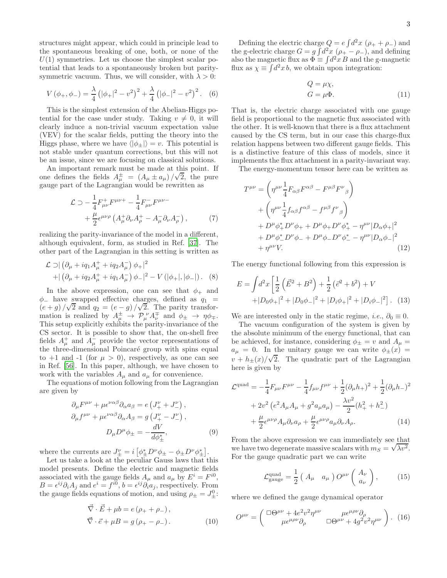structures might appear, which could in principle lead to the spontaneous breaking of one, both, or none of the  $U(1)$  symmetries. Let us choose the simplest scalar potential that leads to a spontaneously broken but paritysymmetric vacuum. Thus, we will consider, with  $\lambda > 0$ :

$$
V(\phi_+,\phi_-) = \frac{\lambda}{4} (|\phi_+|^2 - v^2)^2 + \frac{\lambda}{4} (|\phi_-|^2 - v^2)^2.
$$
 (6)

This is the simplest extension of the Abelian-Higgs potential for the case under study. Taking  $v \neq 0$ , it will clearly induce a non-trivial vacuum expectation value (VEV) for the scalar fields, putting the theory into the Higgs phase, where we have  $\langle |\phi_{\pm}| \rangle = v$ . This potential is not stable under quantum corrections, but this will not be an issue, since we are focusing on classical solutions.

An important remark must be made at this point. If one defines the fields  $A^{\pm}_{\mu} = (A_{\mu} \pm a_{\mu})/\sqrt{2}$ , the pure gauge part of the Lagrangian would be rewritten as

$$
\mathcal{L} \supset -\frac{1}{4} F^{+}_{\mu\nu} F^{\mu\nu +} - \frac{1}{4} F^{-}_{\mu\nu} F^{\mu\nu -} + \frac{\mu}{2} \epsilon^{\mu\nu\rho} \left( A^{+}_{\mu} \partial_{\nu} A^{+}_{\rho} - A^{-}_{\mu} \partial_{\nu} A^{-}_{\rho} \right), \tag{7}
$$

realizing the parity-invariance of the model in a different, although equivalent, form, as studied in Ref. [\[37\]](#page-14-20). The other part of the Lagrangian in this setting is written as

$$
\mathcal{L} \supset | \left( \partial_{\mu} + iq_1 A_{\mu}^+ + iq_2 A_{\mu}^- \right) \phi_+ |^2 + | \left( \partial_{\mu} + iq_2 A_{\mu}^+ + iq_1 A_{\mu}^- \right) \phi_- |^2 - V \left( |\phi_+|, |\phi_-| \right). \tag{8}
$$

In the above expression, one can see that  $\phi_+$  and  $\phi$ <sub>-</sub> have swapped effective charges, defined as  $q_1$  =  $(e+g)/\sqrt{2}$  and  $q_2 = (e-g)/\sqrt{2}$ . The parity transformation is realized by  $A^{\pm}_{\mu} \to \mathcal{P}_{\mu}^{\nu} A^{\mp}_{\nu}$  and  $\phi_{\pm} \to \eta \phi_{\mp}$ . This setup explicitly exhibits the parity-invariance of the CS sector. It is possible to show that, the on-shell free fields  $A^{\dagger}_{\mu}$  and  $A^{-}_{\mu}$  provide the vector representations of the three-dimensional Poincaré group with spins equal to  $+1$  and  $-1$  (for  $\mu > 0$ ), respectively, as one can see in Ref. [\[56\]](#page-14-34). In this paper, although, we have chosen to work with the variables  $A_{\mu}$  and  $a_{\mu}$  for convenience.

The equations of motion following from the Lagrangian are given by

$$
\partial_{\mu}F^{\mu\nu} + \mu \epsilon^{\nu\alpha\beta} \partial_{\alpha} a_{\beta} = e \left( J_{+}^{\nu} + J_{-}^{\nu} \right),
$$
  
\n
$$
\partial_{\mu}f^{\mu\nu} + \mu \epsilon^{\nu\alpha\beta} \partial_{\alpha} A_{\beta} = g \left( J_{+}^{\nu} - J_{-}^{\nu} \right),
$$
  
\n
$$
D_{\mu}D^{\mu} \phi_{\pm} = -\frac{dV}{d\phi_{\pm}^*},
$$
\n(9)

where the currents are  $J_{\pm}^{\nu} = i \left[ \phi_{\pm}^* D^{\nu} \phi_{\pm} - \phi_{\pm} D^{\nu} \phi_{\pm}^* \right]$ .

Let us take a look at the peculiar Gauss laws that this model presents. Define the electric and magnetic fields associated with the gauge fields  $A_{\mu}$  and  $a_{\mu}$  by  $E^{i} = F^{i0}$ ,  $B = \epsilon^{ij} \partial_i A_j$  and  $e^i = f^{i0}, b = \epsilon^{ij} \partial_i a_j$ , respectively. From the gauge fields equations of motion, and using  $\rho_{\pm} = J_{\pm}^0$ :

$$
\vec{\nabla} \cdot \vec{E} + \mu b = e \left( \rho_+ + \rho_- \right),
$$
  

$$
\vec{\nabla} \cdot \vec{e} + \mu B = g \left( \rho_+ - \rho_- \right).
$$
 (10)

Defining the electric charge  $Q = e \int d^2x (\rho_+ + \rho_-)$  and the g-electric charge  $G = g \int d^2x \left(\rho_+ - \rho_-\right)$ , and defining also the magnetic flux as  $\Phi = \int d^2x B$  and the g-magnetic flux as  $\chi \equiv \int d^2x \, b$ , we obtain upon integration:

$$
Q = \mu \chi,
$$
  
\n
$$
G = \mu \Phi.
$$
\n(11)

That is, the electric charge associated with one gauge field is proportional to the magnetic flux associated with the other. It is well-known that there is a flux attachment caused by the CS term, but in our case this charge-flux relation happens between two different gauge fields. This is a distinctive feature of this class of models, since it implements the flux attachment in a parity-invariant way.

The energy-momentum tensor here can be written as

$$
T^{\mu\nu} = \left(\eta^{\mu\nu}\frac{1}{4}F_{\alpha\beta}F^{\alpha\beta} - F^{\mu\beta}F^{\nu}{}_{\beta}\right)
$$
  
+ 
$$
\left(\eta^{\mu\nu}\frac{1}{4}f_{\alpha\beta}f^{\alpha\beta} - f^{\mu\beta}f^{\nu}{}_{\beta}\right)
$$
  
+ 
$$
D^{\mu}\phi_{+}^{*}D^{\nu}\phi_{+} + D^{\mu}\phi_{+}D^{\nu}\phi_{+}^{*} - \eta^{\mu\nu}|D_{\alpha}\phi_{+}|^{2}
$$
  
+ 
$$
D^{\mu}\phi_{-}^{*}D^{\nu}\phi_{-} + D^{\mu}\phi_{-}D^{\nu}\phi_{-}^{*} - \eta^{\mu\nu}|D_{\alpha}\phi_{-}|^{2}
$$
  
+ 
$$
\eta^{\mu\nu}V.
$$
 (12)

The energy functional following from this expression is

<span id="page-2-1"></span>
$$
E = \int d^2x \left[ \frac{1}{2} \left( \vec{E}^2 + B^2 \right) + \frac{1}{2} \left( \vec{e}^2 + b^2 \right) + V + |D_0 \phi_+|^2 + |D_0 \phi_-|^2 + |D_i \phi_+|^2 + |D_i \phi_-|^2 \right].
$$
 (13)

We are interested only in the static regime, *i.e.*,  $\partial_0 \equiv 0$ .

The vacuum configuration of the system is given by the absolute minimum of the energy functional, that can be achieved, for instance, considering  $\phi_{\pm} = v$  and  $A_{\mu} =$  $a_{\mu} = 0$ . In the unitary gauge we can write  $\phi_{\pm}(x) =$  $v + h_{\pm}(x)/\sqrt{2}$ . The quadratic part of the Lagrangian here is given by

$$
\mathcal{L}^{\text{quad}} = -\frac{1}{4} F_{\mu\nu} F^{\mu\nu} - \frac{1}{4} f_{\mu\nu} f^{\mu\nu} + \frac{1}{2} (\partial_{\mu} h_{+})^2 + \frac{1}{2} (\partial_{\mu} h_{-})^2 + 2v^2 \left( e^2 A_{\mu} A_{\mu} + g^2 a_{\mu} a_{\mu} \right) - \frac{\lambda v^2}{2} (h_{+}^2 + h_{-}^2) + \frac{\mu}{2} \epsilon^{\mu\nu\rho} A_{\mu} \partial_{\nu} a_{\rho} + \frac{\mu}{2} \epsilon^{\mu\nu\rho} a_{\mu} \partial_{\nu} A_{\rho}.
$$
 (14)

From the above expression we can immediately see that we have two degenerate massive scalars with  $m_S = \sqrt{\lambda v^2}$ . For the gauge quadratic part we can write

<span id="page-2-0"></span>
$$
\mathcal{L}_{\text{gauge}}^{\text{quad}} = \frac{1}{2} \left( A_{\mu} \quad a_{\mu} \right) O^{\mu \nu} \left( \begin{array}{c} A_{\nu} \\ a_{\nu} \end{array} \right), \tag{15}
$$

where we defined the gauge dynamical operator

<span id="page-2-2"></span>
$$
O^{\mu\nu} = \begin{pmatrix} \Box \Theta^{\mu\nu} + 4e^2v^2\eta^{\mu\nu} & \mu \epsilon^{\mu\rho\nu} \partial_\rho \\ \mu \epsilon^{\mu\rho\nu} \partial_\rho & \Box \Theta^{\mu\nu} + 4g^2v^2\eta^{\mu\nu} \end{pmatrix} . \tag{16}
$$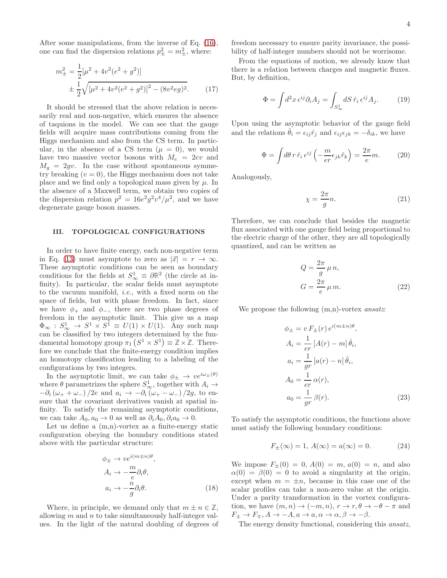After some manipulations, from the inverse of Eq. [\(16\)](#page-2-0), one can find the dispersion relations  $p_{\pm}^2 = m_{\pm}^2$ , where:

$$
m_{\pm}^{2} = \frac{1}{2} [\mu^{2} + 4v^{2}(e^{2} + g^{2})]
$$
  

$$
\pm \frac{1}{2} \sqrt{[\mu^{2} + 4v^{2}(e^{2} + g^{2})]^{2} - (8v^{2}eg)^{2}}.
$$
 (17)

It should be stressed that the above relation is necessarily real and non-negative, which ensures the absence of taquions in the model. We can see that the gauge fields will acquire mass contributions coming from the Higgs mechanism and also from the CS term. In particular, in the absence of a CS term  $(\mu = 0)$ , we would have two massive vector bosons with  $M_e = 2ev$  and  $M_q = 2gv$ . In the case without spontaneous symmetry breaking  $(v = 0)$ , the Higgs mechanism does not take place and we find only a topological mass given by  $\mu$ . In the absence of a Maxwell term, we obtain two copies of the dispersion relation  $p^2 = 16e^2g^2v^4/\mu^2$ , and we have degenerate gauge boson masses.

# <span id="page-3-0"></span>III. TOPOLOGICAL CONFIGURATIONS

In order to have finite energy, each non-negative term in Eq. [\(13\)](#page-2-1) must asymptote to zero as  $|\vec{x}| = r \rightarrow \infty$ . These asymptotic conditions can be seen as boundary conditions for the fields at  $S^1_{\infty} \equiv \partial \mathbb{R}^2$  (the circle at infinity). In particular, the scalar fields must asymptote to the vacuum manifold, i.e., with a fixed norm on the space of fields, but with phase freedom. In fact, since we have  $\phi_+$  and  $\phi_-,$  there are two phase degrees of freedom in the asymptotic limit. This give us a map  $\Phi_{\infty}: S^1_{\infty} \to S^1 \times S^1 \equiv U(1) \times U(1)$ . Any such map can be classified by two integers determined by the fundamental homotopy group  $\pi_1(S^1 \times S^1) \equiv \mathbb{Z} \times \mathbb{Z}$ . Therefore we conclude that the finite-energy condition implies an homotopy classification leading to a labeling of the configurations by two integers.

In the asymptotic limit, we can take  $\phi_{\pm} \to v e^{i\omega_{\pm}(\theta)}$ where  $\theta$  parametrizes the sphere  $S^1_{\infty}$ , together with  $A_i \rightarrow$  $-\partial_i(\omega_+ + \omega_-)/2e$  and  $a_i \rightarrow -\partial_i(\omega_+ - \omega_-)/2g$ , to ensure that the covariant derivatives vanish at spatial infinity. To satisfy the remaining asymptotic conditions, we can take  $A_0$ ,  $a_0 \to 0$  as well as  $\partial_i A_0$ ,  $\partial_i a_0 \to 0$ .

Let us define a  $(m,n)$ -vortex as a finite-energy static configuration obeying the boundary conditions stated above with the particular structure:

$$
\phi_{\pm} \to v e^{i(m \pm n)\theta},
$$
  
\n
$$
A_i \to -\frac{m}{e} \partial_i \theta,
$$
  
\n
$$
a_i \to -\frac{n}{g} \partial_i \theta.
$$
\n(18)

Where, in principle, we demand only that  $m \pm n \in \mathbb{Z}$ , allowing  $m$  and  $n$  to take simultaneously half-integer values. In the light of the natural doubling of degrees of

freedom necessary to ensure parity invariance, the possibility of half-integer numbers should not be worrisome.

<span id="page-3-3"></span>From the equations of motion, we already know that there is a relation between charges and magnetic fluxes. But, by definition,

$$
\Phi = \int d^2x \,\epsilon^{ij}\partial_i A_j = \int_{S^1_{\infty}} dS \,\hat{r}_i \,\epsilon^{ij} A_j. \tag{19}
$$

Upon using the asymptotic behavior of the gauge field and the relations  $\theta_i = \epsilon_{ij} \hat{r}_j$  and  $\epsilon_{ij} \epsilon_{jk} = -\delta_{ik}$ , we have

$$
\Phi = \int d\theta \, r \, \hat{r}_i \, \epsilon^{ij} \left( -\frac{m}{er} \epsilon_{jk} \hat{r}_k \right) = \frac{2\pi}{e} m. \tag{20}
$$

Analogously,

$$
\chi = \frac{2\pi}{g}n.\tag{21}
$$

Therefore, we can conclude that besides the magnetic flux associated with one gauge field being proportional to the electric charge of the other, they are all topologically quantized, and can be written as

<span id="page-3-4"></span>
$$
Q = \frac{2\pi}{g} \mu n,
$$
  
\n
$$
G = \frac{2\pi}{e} \mu m.
$$
\n(22)

We propose the following  $(m,n)$ -vortex *ansatz*:

<span id="page-3-1"></span>
$$
\phi_{\pm} = v F_{\pm}(r) e^{i(m \pm n)\theta},
$$
  
\n
$$
A_i = \frac{1}{er} [A(r) - m] \hat{\theta}_i,
$$
  
\n
$$
a_i = \frac{1}{gr} [a(r) - n] \hat{\theta}_i,
$$
  
\n
$$
A_0 = \frac{1}{er} \alpha(r),
$$
  
\n
$$
a_0 = \frac{1}{gr} \beta(r).
$$
\n(23)

To satisfy the asymptotic conditions, the functions above must satisfy the following boundary conditions:

<span id="page-3-2"></span>
$$
F_{\pm}(\infty) = 1, A(\infty) = a(\infty) = 0.
$$
 (24)

We impose  $F_{\pm}(0) = 0, A(0) = m, a(0) = n$ , and also  $\alpha(0) = \beta(0) = 0$  to avoid a singularity at the origin, except when  $m = \pm n$ , because in this case one of the scalar profiles can take a non-zero value at the origin. Under a parity transformation in the vortex configuration, we have  $(m, n) \rightarrow (-m, n)$ ,  $r \rightarrow r, \theta \rightarrow -\theta - \pi$  and  $F_{\pm} \to F_{\mp}, A \to -A, a \to a, \alpha \to \alpha, \beta \to -\beta.$ 

The energy density functional, considering this ansatz,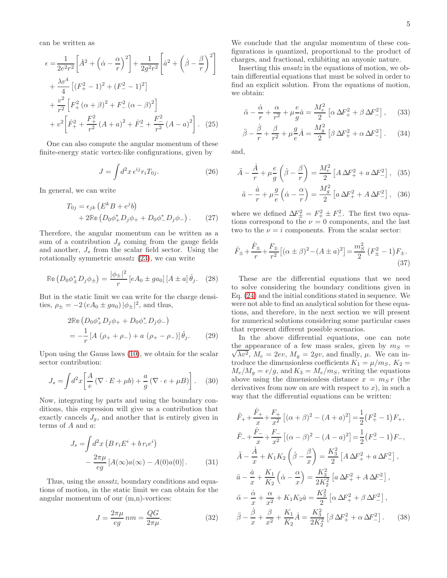can be written as

$$
\epsilon = \frac{1}{2e^{2}r^{2}} \left[ \dot{A}^{2} + \left( \dot{\alpha} - \frac{\alpha}{r} \right)^{2} \right] + \frac{1}{2g^{2}r^{2}} \left[ \dot{a}^{2} + \left( \dot{\beta} - \frac{\beta}{r} \right)^{2} \right] \n+ \frac{\lambda v^{4}}{4} \left[ (F_{+}^{2} - 1)^{2} + (F_{-}^{2} - 1)^{2} \right] \n+ \frac{v^{2}}{r^{2}} \left[ F_{+}^{2} \left( \alpha + \beta \right)^{2} + F_{-}^{2} \left( \alpha - \beta \right)^{2} \right] \n+ v^{2} \left[ \dot{F}_{+}^{2} + \frac{F_{+}^{2}}{r^{2}} \left( A + a \right)^{2} + \dot{F}_{-}^{2} + \frac{F_{-}^{2}}{r^{2}} \left( A - a \right)^{2} \right].
$$
\n(25)

One can also compute the angular momentum of these finite-energy static vortex-like configurations, given by

$$
J = \int d^2x \,\epsilon^{ij} r_i T_{0j}.\tag{26}
$$

In general, we can write

$$
T_{0j} = \epsilon_{jk} (E^k B + e^j b) + 2\mathbb{Re} (D_0 \phi^*_{+} D_j \phi_{+} + D_0 \phi^*_{-} D_j \phi_{-}) .
$$
 (27)

Therefore, the angular momentum can be written as a sum of a contribution  $J_q$  coming from the gauge fields and another,  $J_s$  from the scalar field sector. Using the rotationally symmetric ansatz [\(23\)](#page-3-1), we can write

$$
\operatorname{Re}\left(D_0 \phi_{\pm}^* D_j \phi_{\pm}\right) = \frac{|\phi_{\pm}|^2}{r} \left[e A_0 \pm ga_0\right] \left[A \pm a\right] \hat{\theta}_j. \tag{28}
$$

But in the static limit we can write for the charge densities,  $\rho_{\pm} = -2 (eA_0 \pm ga_0) |\phi_{\pm}|^2$ , and thus,

$$
2\mathbb{Re}\left(D_0\phi_+^*D_j\phi_+ + D_0\phi_-^*D_j\phi_-\right)
$$
  
=  $-\frac{1}{r}[A(\rho_+ + \rho_-) + a(\rho_+ - \rho_-)]\hat{\theta}_j.$  (29)

Upon using the Gauss laws [\(10\)](#page-2-2), we obtain for the scalar sector contribution:

$$
J_s = \int d^2x \left[ \frac{A}{e} \left( \nabla \cdot E + \mu b \right) + \frac{a}{g} \left( \nabla \cdot e + \mu B \right) \right]. \tag{30}
$$

Now, integrating by parts and using the boundary conditions, this expression will give us a contribution that exactly cancels  $J_g$ , and another that is entirely given in terms of A and a:

$$
J_s = \int d^2x \left( B r_i E^i + b r_i e^i \right)
$$

$$
- \frac{2\pi\mu}{eg} \left[ A(\infty) a(\infty) - A(0) a(0) \right]. \tag{31}
$$

Thus, using the *ansatz*, boundary conditions and equations of motion, in the static limit we can obtain for the angular momentum of our (m,n)-vortices:

$$
J = \frac{2\pi\mu}{eg} \, nm = \frac{QG}{2\pi\mu}.\tag{32}
$$

We conclude that the angular momentum of these configurations is quantized, proportional to the product of charges, and fractional, exhibiting an anyonic nature.

Inserting this ansatz in the equations of motion, we obtain differential equations that must be solved in order to find an explicit solution. From the equations of motion, we obtain:

$$
\ddot{\alpha} - \frac{\dot{\alpha}}{r} + \frac{\alpha}{r^2} + \mu \frac{e}{g} \dot{a} = \frac{M_e^2}{2} \left[ \alpha \Delta F_+^2 + \beta \Delta F_-^2 \right], \quad (33)
$$

$$
\ddot{\beta} - \frac{\dot{\beta}}{r} + \frac{\beta}{r^2} + \mu \frac{g}{e} \dot{A} = \frac{M_g^2}{2} \left[ \beta \Delta F_+^2 + \alpha \Delta F_-^2 \right].
$$
 (34)

and,

$$
\ddot{A} - \frac{\dot{A}}{r} + \mu \frac{e}{g} \left( \dot{\beta} - \frac{\beta}{r} \right) = \frac{M_e^2}{2} \left[ A \Delta F_+^2 + a \Delta F_-^2 \right], \quad (35)
$$

$$
\ddot{a} - \frac{\dot{a}}{r} + \mu \frac{g}{e} \left( \dot{\alpha} - \frac{\alpha}{r} \right) = \frac{M_g^2}{2} \left[ a \Delta F_+^2 + A \Delta F_-^2 \right], \quad (36)
$$

where we defined  $\Delta F_{\pm}^2 = F_{+}^2 \pm F_{-}^2$ . The first two equations correspond to the  $\nu = 0$  components, and the last two to the  $\nu = i$  components. From the scalar sector:

$$
\ddot{F}_{\pm} + \frac{\dot{F}_{\pm}}{r} + \frac{F_{\pm}}{r^2} \left[ (\alpha \pm \beta)^2 - (A \pm a)^2 \right] = \frac{m_S^2}{2} \left( F_{\pm}^2 - 1 \right) F_{\pm}.
$$
\n(37)

These are the differential equations that we need to solve considering the boundary conditions given in Eq. [\(24\)](#page-3-2) and the initial conditions stated in sequence. We were not able to find an analytical solution for these equations, and therefore, in the next section we will present for numerical solutions considering some particular cases that represent different possible scenarios.

In the above differential equations, one can note  $\sqrt{\lambda v^2}$ ,  $M_e = 2ev$ ,  $M_g = 2gv$ , and finally,  $\mu$ . We can inthe appearance of a few mass scales, given by  $m<sub>S</sub>$  = troduce the dimensionless coefficients  $K_1 = \mu/m_S$ ,  $K_2 =$  $M_e/M_g = e/g$ , and  $K_3 = M_e/m_s$ , writing the equations above using the dimensionless distance  $x = m_S r$  (the derivatives from now on are with respect to  $x$ ), in such a way that the differential equations can be written:

<span id="page-4-0"></span>
$$
\ddot{F}_{+} + \frac{\dot{F}_{+}}{x} + \frac{F_{+}}{x^{2}} \left[ (\alpha + \beta)^{2} - (A + a)^{2} \right] = \frac{1}{2} (F_{+}^{2} - 1) F_{+},
$$
\n
$$
\ddot{F}_{-} + \frac{\dot{F}_{-}}{x} + \frac{F_{-}}{x^{2}} \left[ (\alpha - \beta)^{2} - (A - a)^{2} \right] = \frac{1}{2} (F_{-}^{2} - 1) F_{-},
$$
\n
$$
\ddot{A} - \frac{\dot{A}}{x} + K_{1} K_{2} \left( \dot{\beta} - \frac{\beta}{x} \right) = \frac{K_{3}^{2}}{2} \left[ A \Delta F_{+}^{2} + a \Delta F_{-}^{2} \right],
$$
\n
$$
\ddot{a} - \frac{\dot{a}}{x} + \frac{K_{1}}{K_{2}} \left( \dot{\alpha} - \frac{\alpha}{x} \right) = \frac{K_{3}^{2}}{2K_{2}^{2}} \left[ a \Delta F_{+}^{2} + A \Delta F_{-}^{2} \right],
$$
\n
$$
\ddot{\alpha} - \frac{\dot{\alpha}}{x} + \frac{\alpha}{x^{2}} + K_{1} K_{2} \dot{a} = \frac{K_{3}^{2}}{2} \left[ \alpha \Delta F_{+}^{2} + \beta \Delta F_{-}^{2} \right],
$$
\n
$$
\ddot{\beta} - \frac{\dot{\beta}}{x} + \frac{\beta}{x^{2}} + \frac{K_{1}}{K_{2}} \dot{A} = \frac{K_{3}^{2}}{2K_{2}^{2}} \left[ \beta \Delta F_{+}^{2} + \alpha \Delta F_{-}^{2} \right].
$$
\n(38)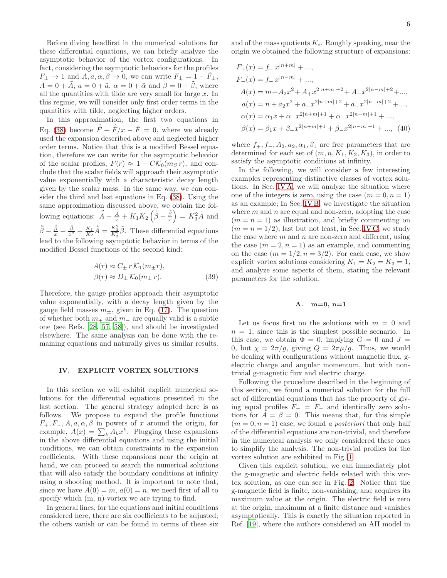Before diving headfirst in the numerical solutions for these differential equations, we can briefly analyze the asymptotic behavior of the vortex configurations. In fact, considering the asymptotic behaviors for the profiles  $F_{\pm} \rightarrow 1$  and  $A, a, \alpha, \beta \rightarrow 0$ , we can write  $F_{\pm} = 1 - F_{\pm}$ ,  $A = 0 + \tilde{A}$ ,  $a = 0 + \tilde{a}$ ,  $\alpha = 0 + \tilde{\alpha}$  and  $\beta = 0 + \tilde{\beta}$ , where all the quantities with tilde are very small for large  $x$ . In this regime, we will consider only first order terms in the quantities with tilde, neglecting higher orders.

In this approximation, the first two equations in Eq. [\(38\)](#page-4-0) become  $\ddot{\tilde{F}} + \dot{\tilde{F}}/x - \tilde{F} = 0$ , where we already used the expansion described above and neglected higher order terms. Notice that this is a modified Bessel equation, therefore we can write for the asymptotic behavior of the scalar profiles,  $F(r) \approx 1 - C\mathcal{K}_0(m_S r)$ , and conclude that the scalar fields will approach their asymptotic value exponentially with a characteristic decay length given by the scalar mass. In the same way, we can consider the third and last equations in Eq. [\(38\)](#page-4-0). Using the same approximation discussed above, we obtain the following equations:  $\ddot{\tilde{A}} - \frac{\dot{\tilde{A}}}{x} + K_1 K_2 \left( \dot{\tilde{\beta}} - \frac{\tilde{\beta}}{x} \right) = K_3^2 \tilde{A}$  and  $\ddot{\tilde{\beta}} - \frac{\dot{\tilde{\beta}}}{x} + \frac{\tilde{\beta}}{x^2} + \frac{K_1}{K_2} \dot{\tilde{A}} = \frac{K_3^2}{K_2^2} \tilde{\beta}$ . These differential equations lead to the following asymptotic behavior in terms of the modified Bessel functions of the second kind:

$$
A(r) \approx C_{\pm} r K_1(m_{\pm}r),
$$
  
\n
$$
\beta(r) \approx D_{\pm} K_0(m_{\pm}r).
$$
 (39)

Therefore, the gauge profiles approach their asymptotic value exponentially, with a decay length given by the gauge field masses  $m_{+}$ , given in Eq. [\(17\)](#page-3-3). The question of whether both  $m_+$  and  $m_-$  are equally valid is a subtle one (see Refs. [\[28](#page-14-11), [57,](#page-14-35) [58](#page-14-36)]), and should be investigated elsewhere. The same analysis can be done with the remaining equations and naturally gives us similar results.

# <span id="page-5-0"></span>IV. EXPLICIT VORTEX SOLUTIONS

In this section we will exhibit explicit numerical solutions for the differential equations presented in the last section. The general strategy adopted here is as follows. We propose to expand the profile functions  $F_+, F_-, A, a, \alpha, \beta$  in powers of x around the origin, for example,  $A(x) = \sum_k A_k x^k$ . Plugging these expansions in the above differential equations and using the initial conditions, we can obtain constraints in the expansion coefficients. With these expansions near the origin at hand, we can proceed to search the numerical solutions that will also satisfy the boundary conditions at infinity using a shooting method. It is important to note that, since we have  $A(0) = m$ ,  $a(0) = n$ , we need first of all to specify which (m, n)-vortex we are trying to find.

In general lines, for the equations and initial conditions considered here, there are six coefficients to be adjusted; the others vanish or can be found in terms of these six

and of the mass quotients  $K_i$ . Roughly speaking, near the origin we obtained the following structure of expansions:

$$
F_{+}(x) = f_{+} x^{|n+m|} + ...,
$$
  
\n
$$
F_{-}(x) = f_{-} x^{|n-m|} + ...,
$$
  
\n
$$
A(x) = m + A_{2} x^{2} + A_{+} x^{2|n+m|+2} + A_{-} x^{2|n-m|+2} + ...,
$$
  
\n
$$
a(x) = n + a_{2} x^{2} + a_{+} x^{2|n+m|+2} + a_{-} x^{2|n-m|+2} + ...,
$$
  
\n
$$
\alpha(x) = \alpha_{1} x + \alpha_{+} x^{2|n+m|+1} + \alpha_{-} x^{2|n-m|+1} + ...,
$$
  
\n
$$
\beta(x) = \beta_{1} x + \beta_{+} x^{2|n+m|+1} + \beta_{-} x^{2|n-m|+1} + ...,
$$
 (40)

where  $f_+, f_-, A_2, a_2, \alpha_1, \beta_1$  are free parameters that are determined for each set of  $(m, n, K_1, K_2, K_3)$ , in order to satisfy the asymptotic conditions at infinity.

In the following, we will consider a few interesting examples representing distinctive classes of vortex solutions. In Sec. [IV A,](#page-5-1) we will analyze the situation where one of the integers is zero, using the case  $(m = 0, n = 1)$ as an example; In Sec. [IV B,](#page-6-0) we investigate the situation where  $m$  and  $n$  are equal and non-zero, adopting the case  $(m = n = 1)$  as illustration, and briefly commenting on  $(m = n = 1/2)$ ; last but not least, in Sec. [IV C,](#page-7-0) we study the case where  $m$  and  $n$  are non-zero and different, using the case  $(m = 2, n = 1)$  as an example, and commenting on the case  $(m = 1/2, n = 3/2)$ . For each case, we show explicit vortex solutions considering  $K_1 = K_2 = K_3 = 1$ , and analyze some aspects of them, stating the relevant parameters for the solution.

# <span id="page-5-1"></span>A. m=0, n=1

Let us focus first on the solutions with  $m = 0$  and  $n = 1$ , since this is the simplest possible scenario. In this case, we obtain  $\Phi = 0$ , implying  $G = 0$  and  $J =$ 0, but  $\chi = 2\pi/g$ , giving  $Q = 2\pi \mu/g$ . Thus, we would be dealing with configurations without magnetic flux, gelectric charge and angular momentum, but with nontrivial g-magnetic flux and electric charge.

Following the procedure described in the beginning of this section, we found a numerical solution for the full set of differential equations that has the property of giving equal profiles  $F_+ = F_-$  and identically zero solutions for  $A = \beta = 0$ . This means that, for this simple  $(m = 0, n = 1)$  case, we found a posteriori that only half of the differential equations are non-trivial, and therefore in the numerical analysis we only considered these ones to simplify the analysis. The non-trivial profiles for the vortex solution are exhibited in Fig. [1.](#page-6-1)

Given this explicit solution, we can immediately plot the g-magnetic and electric fields related with this vortex solution, as one can see in Fig. [2.](#page-6-2) Notice that the g-magnetic field is finite, non-vanishing, and acquires its maximum value at the origin. The electric field is zero at the origin, maximum at a finite distance and vanishes asymptotically. This is exactly the situation reported in Ref. [\[19\]](#page-14-3), where the authors considered an AH model in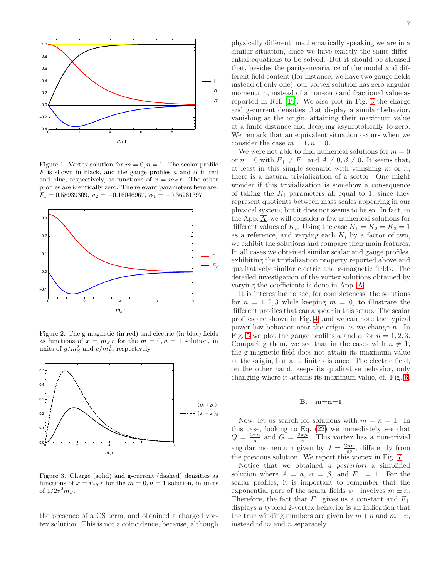

<span id="page-6-1"></span>Figure 1. Vortex solution for  $m = 0, n = 1$ . The scalar profile F is shown in black, and the gauge profiles a and  $\alpha$  in red and blue, respectively, as functions of  $x = m_S r$ . The other profiles are identically zero. The relevant parameters here are:  $F_1 = 0.58939309, a_2 = -0.16046967, \alpha_1 = -0.36281397.$ 



<span id="page-6-2"></span>Figure 2. The g-magnetic (in red) and electric (in blue) fields as functions of  $x = m_S r$  for the  $m = 0, n = 1$  solution, in units of  $g/m_S^2$  and  $e/m_S^2$ , respectively.



<span id="page-6-3"></span>Figure 3. Charge (solid) and g-current (dashed) densities as functions of  $x = m_S r$  for the  $m = 0, n = 1$  solution, in units of  $1/2v^2 m_S$ .

the presence of a CS term, and obtained a charged vortex solution. This is not a coincidence, because, although physically different, mathematically speaking we are in a similar situation, since we have exactly the same differential equations to be solved. But it should be stressed that, besides the parity-invariance of the model and different field content (for instance, we have two gauge fields instead of only one), our vortex solution has zero angular momentum, instead of a non-zero and fractional value as reported in Ref. [\[19](#page-14-3)]. We also plot in Fig. [3](#page-6-3) the charge and g-current densities that display a similar behavior, vanishing at the origin, attaining their maximum value at a finite distance and decaying asymptotically to zero. We remark that an equivalent situation occurs when we consider the case  $m = 1, n = 0$ .

We were not able to find numerical solutions for  $m = 0$ or  $n = 0$  with  $F_+ \neq F_-$  and  $A \neq 0, \beta \neq 0$ . It seems that, at least in this simple scenario with vanishing  $m$  or  $n$ , there is a natural trivialization of a sector. One might wonder if this trivialization is somehow a consequence of taking the  $K_i$  parameters all equal to 1, since they represent quotients between mass scales appearing in our physical system, but it does not seems to be so. In fact, in the App. [A,](#page-9-1) we will consider a few numerical solutions for different values of  $K_i$ . Using the case  $K_1 = K_2 = K_3 = 1$ as a reference, and varying each  $K_i$  by a factor of two, we exhibit the solutions and compare their main features. In all cases we obtained similar scalar and gauge profiles, exhibiting the trivialization property reported above and qualitatively similar electric and g-magnetic fields. The detailed investigation of the vortex solutions obtained by varying the coefficients is done in App. [A.](#page-9-1)

It is interesting to see, for completeness, the solutions for  $n = 1, 2, 3$  while keeping  $m = 0$ , to illustrate the different profiles that can appear in this setup. The scalar profiles are shown in Fig. [4,](#page-7-1) and we can note the typical power-law behavior near the origin as we change  $n$ . In Fig. [5](#page-7-2) we plot the gauge profiles a and  $\alpha$  for  $n = 1, 2, 3$ . Comparing them, we see that in the cases with  $n \neq 1$ , the g-magnetic field does not attain its maximum value at the origin, but at a finite distance. The electric field, on the other hand, keeps its qualitative behavior, only changing where it attains its maximum value, cf. Fig. [6.](#page-7-3)

### <span id="page-6-0"></span>B. m=n=1

Now, let us search for solutions with  $m = n = 1$ . In this case, looking to Eq. [\(22\)](#page-3-4) we immediately see that  $Q = \frac{2\pi\mu}{g}$  and  $G = \frac{2\pi\mu}{e}$ . This vortex has a non-trivial angular momentum given by  $J = \frac{2\pi\mu}{eg}$ , differently from the previous solution. We report this vortex in Fig. [7.](#page-7-4)

Notice that we obtained a posteriori a simplified solution where  $A = a$ ,  $\alpha = \beta$ , and  $F_ - = 1$ . For the scalar profiles, it is important to remember that the exponential part of the scalar fields  $\phi_{\pm}$  involves  $m \pm n$ . Therefore, the fact that  $F_-\,$  gives us a constant and  $F_+\,$ displays a typical 2-vortex behavior is an indication that the true winding numbers are given by  $m+n$  and  $m-n$ , instead of m and n separately.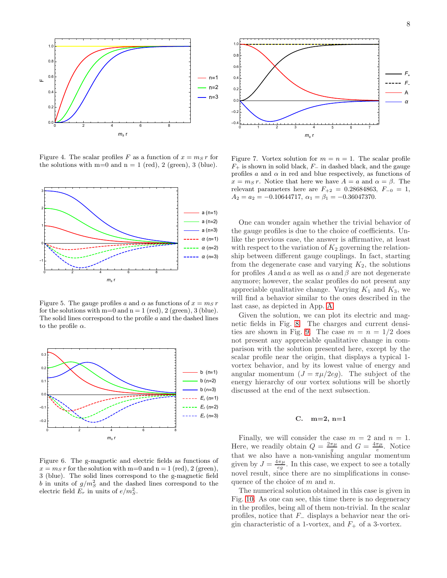



<span id="page-7-1"></span>Figure 4. The scalar profiles F as a function of  $x = m_S r$  for the solutions with  $m=0$  and  $n = 1$  (red), 2 (green), 3 (blue).



<span id="page-7-2"></span>Figure 5. The gauge profiles a and  $\alpha$  as functions of  $x = m_S r$ for the solutions with  $m=0$  and  $n=1$  (red), 2 (green), 3 (blue). The solid lines correspond to the profile a and the dashed lines to the profile  $\alpha$ .



<span id="page-7-3"></span>Figure 6. The g-magnetic and electric fields as functions of  $x = m<sub>S</sub> r$  for the solution with m=0 and n = 1 (red), 2 (green), 3 (blue). The solid lines correspond to the g-magnetic field b in units of  $g/m_S^2$  and the dashed lines correspond to the electric field  $E_r$  in units of  $e/m_S^2$ .



<span id="page-7-4"></span>Figure 7. Vortex solution for  $m = n = 1$ . The scalar profile  $F_+$  is shown in solid black,  $F_-\$  in dashed black, and the gauge profiles  $a$  and  $\alpha$  in red and blue respectively, as functions of  $x = m_S r$ . Notice that here we have  $A = a$  and  $\alpha = \beta$ . The relevant parameters here are  $F_{+2} = 0.28684863, F_{-0} = 1,$  $A_2 = a_2 = -0.10644717, \ \alpha_1 = \beta_1 = -0.36047370.$ 

One can wonder again whether the trivial behavior of the gauge profiles is due to the choice of coefficients. Unlike the previous case, the answer is affirmative, at least with respect to the variation of  $K_2$  governing the relationship between different gauge couplings. In fact, starting from the degenerate case and varying  $K_2$ , the solutions for profiles  $A$  and  $a$  as well as  $\alpha$  and  $\beta$  are not degenerate anymore; however, the scalar profiles do not present any appreciable qualitative change. Varying  $K_1$  and  $K_3$ , we will find a behavior similar to the ones described in the last case, as depicted in App. [A.](#page-9-1)

Given the solution, we can plot its electric and magnetic fields in Fig. [8.](#page-8-0) The charges and current densi-ties are shown in Fig. [9.](#page-8-1) The case  $m = n = 1/2$  does not present any appreciable qualitative change in comparison with the solution presented here, except by the scalar profile near the origin, that displays a typical 1 vortex behavior, and by its lowest value of energy and angular momentum  $(J = \pi \mu/2eg)$ . The subject of the energy hierarchy of our vortex solutions will be shortly discussed at the end of the next subsection.

# <span id="page-7-0"></span>C. m=2, n=1

Finally, we will consider the case  $m = 2$  and  $n = 1$ . Here, we readily obtain  $Q = \frac{2\pi\mu}{g}$  and  $G = \frac{4\pi\mu}{e}$ . Notice that we also have a non-vanishing angular momentum given by  $J = \frac{4\pi\mu}{eg}$ . In this case, we expect to see a totally novel result, since there are no simplifications in consequence of the choice of  $m$  and  $n$ .

The numerical solution obtained in this case is given in Fig. [10.](#page-8-2) As one can see, this time there is no degeneracy in the profiles, being all of them non-trivial. In the scalar profiles, notice that  $F_-\$  displays a behavior near the origin characteristic of a 1-vortex, and  $F_+$  of a 3-vortex.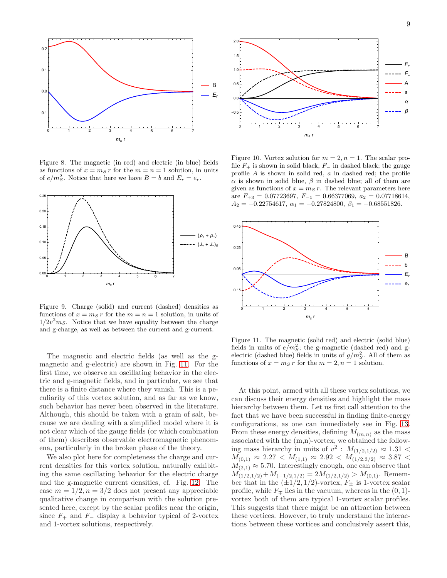

<span id="page-8-0"></span>Figure 8. The magnetic (in red) and electric (in blue) fields as functions of  $x = m_S r$  for the  $m = n = 1$  solution, in units of  $e/m_S^2$ . Notice that here we have  $B = b$  and  $E_r = e_r$ .



<span id="page-8-1"></span>Figure 9. Charge (solid) and current (dashed) densities as functions of  $x = m<sub>S</sub> r$  for the  $m = n = 1$  solution, in units of  $1/2v^2m_S$ . Notice that we have equality between the charge and g-charge, as well as between the current and g-current.

The magnetic and electric fields (as well as the gmagnetic and g-electric) are shown in Fig. [11.](#page-8-3) For the first time, we observe an oscillating behavior in the electric and g-magnetic fields, and in particular, we see that there is a finite distance where they vanish. This is a peculiarity of this vortex solution, and as far as we know, such behavior has never been observed in the literature. Although, this should be taken with a grain of salt, because we are dealing with a simplified model where it is not clear which of the gauge fields (or which combination of them) describes observable electromagnetic phenomena, particularly in the broken phase of the theory.

We also plot here for completeness the charge and current densities for this vortex solution, naturally exhibiting the same oscillating behavior for the electric charge and the g-magnetic current densities, cf. Fig. [12.](#page-9-2) The case  $m = 1/2, n = 3/2$  does not present any appreciable qualitative change in comparison with the solution presented here, except by the scalar profiles near the origin, since  $F_+$  and  $F_-\$  display a behavior typical of 2-vortex and 1-vortex solutions, respectively.



<span id="page-8-2"></span>Figure 10. Vortex solution for  $m = 2$ ,  $n = 1$ . The scalar profile  $F_+$  is shown in solid black,  $F_-\$  in dashed black; the gauge profile A is shown in solid red, a in dashed red; the profile  $\alpha$  is shown in solid blue,  $\beta$  in dashed blue; all of them are given as functions of  $x = m_S r$ . The relevant parameters here are  $F_{+3} = 0.07723697, F_{-1} = 0.66377069, a_2 = 0.07718614,$  $A_2 = -0.22754617$ ,  $\alpha_1 = -0.27824800$ ,  $\beta_1 = -0.68551826$ .



<span id="page-8-3"></span>Figure 11. The magnetic (solid red) and electric (solid blue) fields in units of  $e/m_S^2$ ; the g-magnetic (dashed red) and gelectric (dashed blue) fields in units of  $g/m_S^2$ . All of them as functions of  $x = m_S r$  for the  $m = 2, n = 1$  solution.

At this point, armed with all these vortex solutions, we can discuss their energy densities and highlight the mass hierarchy between them. Let us first call attention to the fact that we have been successful in finding finite-energy configurations, as one can immediately see in Fig. [13.](#page-9-3) From these energy densities, defining  $M_{(m,n)}$  as the mass associated with the (m,n)-vortex, we obtained the following mass hierarchy in units of  $v^2$ :  $M_{(1/2,1/2)} \approx 1.31$  <  $M_{(0,1)} \approx 2.27 < M_{(1,1)} \approx 2.92 < M_{(1/2,3/2)} \approx 3.87 <$  $M_{(2,1)} \approx 5.70$ . Interestingly enough, one can observe that  $M_{(1/2,1/2)}+M_{(-1/2,1/2)} = 2M_{(1/2,1/2)} > M_{(0,1)}$ . Remember that in the  $(\pm 1/2, 1/2)$ -vortex,  $F_{\pm}$  is 1-vortex scalar profile, while  $F_{\pm}$  lies in the vacuum, whereas in the  $(0, 1)$ vortex both of them are typical 1-vortex scalar profiles. This suggests that there might be an attraction between these vortices. However, to truly understand the interactions between these vortices and conclusively assert this,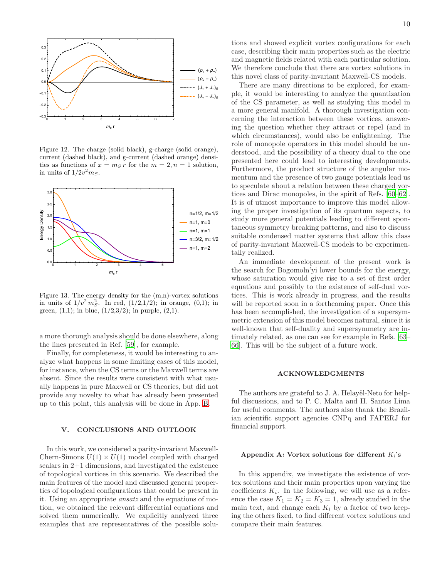

<span id="page-9-2"></span>Figure 12. The charge (solid black), g-charge (solid orange), current (dashed black), and g-current (dashed orange) densities as functions of  $x = m_S r$  for the  $m = 2, n = 1$  solution, in units of  $1/2v^2m_S$ .



<span id="page-9-3"></span>Figure 13. The energy density for the  $(m,n)$ -vortex solutions in units of  $1/v^2 m_S^2$ . In red,  $(1/2,1/2)$ ; in orange,  $(0,1)$ ; in green,  $(1,1)$ ; in blue,  $(1/2,3/2)$ ; in purple,  $(2,1)$ .

a more thorough analysis should be done elsewhere, along the lines presented in Ref. [\[59\]](#page-15-0), for example.

Finally, for completeness, it would be interesting to analyze what happens in some limiting cases of this model, for instance, when the CS terms or the Maxwell terms are absent. Since the results were consistent with what usually happens in pure Maxwell or CS theories, but did not provide any novelty to what has already been presented up to this point, this analysis will be done in App. [B.](#page-10-0)

# <span id="page-9-0"></span>V. CONCLUSIONS AND OUTLOOK

In this work, we considered a parity-invariant Maxwell-Chern-Simons  $U(1) \times U(1)$  model coupled with charged scalars in 2+1 dimensions, and investigated the existence of topological vortices in this scenario. We described the main features of the model and discussed general properties of topological configurations that could be present in it. Using an appropriate ansatz and the equations of motion, we obtained the relevant differential equations and solved them numerically. We explicitly analyzed three examples that are representatives of the possible solu-

tions and showed explicit vortex configurations for each case, describing their main properties such as the electric and magnetic fields related with each particular solution. We therefore conclude that there are vortex solutions in this novel class of parity-invariant Maxwell-CS models.

There are many directions to be explored, for example, it would be interesting to analyze the quantization of the CS parameter, as well as studying this model in a more general manifold. A thorough investigation concerning the interaction between these vortices, answering the question whether they attract or repel (and in which circumstances), would also be enlightening. The role of monopole operators in this model should be understood, and the possibility of a theory dual to the one presented here could lead to interesting developments. Furthermore, the product structure of the angular momentum and the presence of two gauge potentials lead us to speculate about a relation between these charged vortices and Dirac monopoles, in the spirit of Refs. [\[60](#page-15-1)[–62\]](#page-15-2). It is of utmost importance to improve this model allowing the proper investigation of its quantum aspects, to study more general potentials leading to different spontaneous symmetry breaking patterns, and also to discuss suitable condensed matter systems that allow this class of parity-invariant Maxwell-CS models to be experimentally realized.

An immediate development of the present work is the search for Bogomoln'yi lower bounds for the energy, whose saturation would give rise to a set of first order equations and possibly to the existence of self-dual vortices. This is work already in progress, and the results will be reported soon in a forthcoming paper. Once this has been accomplished, the investigation of a supersymmetric extension of this model becomes natural, since it is well-known that self-duality and supersymmetry are intimately related, as one can see for example in Refs. [\[63](#page-15-3)– [66](#page-15-4)]. This will be the subject of a future work.

# ACKNOWLEDGMENTS

The authors are grateful to J. A. Helayël-Neto for helpful discussions, and to P. C. Malta and H. Santos Lima for useful comments. The authors also thank the Brazilian scientific support agencies CNPq and FAPERJ for financial support.

# <span id="page-9-1"></span>Appendix A: Vortex solutions for different  $K_i$ 's

In this appendix, we investigate the existence of vortex solutions and their main properties upon varying the coefficients  $K_i$ . In the following, we will use as a reference the case  $K_1 = K_2 = K_3 = 1$ , already studied in the main text, and change each  $K_i$  by a factor of two keeping the others fixed, to find different vortex solutions and compare their main features.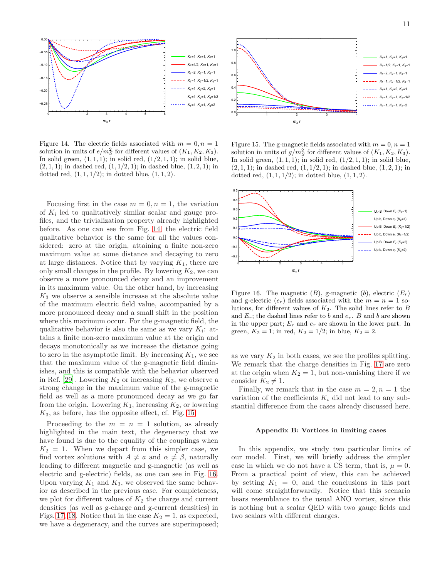

<span id="page-10-1"></span>Figure 14. The electric fields associated with  $m = 0, n = 1$ solution in units of  $e/m_S^2$  for different values of  $(K_1, K_2, K_3)$ . In solid green,  $(1, 1, 1)$ ; in solid red,  $(1/2, 1, 1)$ ; in solid blue,  $(2, 1, 1)$ ; in dashed red,  $(1, 1/2, 1)$ ; in dashed blue,  $(1, 2, 1)$ ; in dotted red,  $(1, 1, 1/2)$ ; in dotted blue,  $(1, 1, 2)$ .

Focusing first in the case  $m = 0, n = 1$ , the variation of  $K_i$  led to qualitatively similar scalar and gauge profiles, and the trivialization property already highlighted before. As one can see from Fig. [14,](#page-10-1) the electric field qualitative behavior is the same for all the values considered: zero at the origin, attaining a finite non-zero maximum value at some distance and decaying to zero at large distances. Notice that by varying  $K_1$ , there are only small changes in the profile. By lowering  $K_2$ , we can observe a more pronounced decay and an improvement in its maximum value. On the other hand, by increasing  $K_3$  we observe a sensible increase at the absolute value of the maximum electric field value, accompanied by a more pronounced decay and a small shift in the position where this maximum occur. For the g-magnetic field, the qualitative behavior is also the same as we vary  $K_i$ : attains a finite non-zero maximum value at the origin and decays monotonically as we increase the distance going to zero in the asymptotic limit. By increasing  $K_1$ , we see that the maximum value of the g-magnetic field diminishes, and this is compatible with the behavior observed in Ref. [\[29\]](#page-14-12). Lowering  $K_2$  or increasing  $K_3$ , we observe a strong change in the maximum value of the g-magnetic field as well as a more pronounced decay as we go far from the origin. Lowering  $K_1$ , increasing  $K_2$ , or lowering  $K_3$ , as before, has the opposite effect, cf. Fig. [15.](#page-10-2)

Proceeding to the  $m = n = 1$  solution, as already highlighted in the main text, the degeneracy that we have found is due to the equality of the couplings when  $K_2 = 1$ . When we depart from this simpler case, we find vortex solutions with  $A \neq a$  and  $\alpha \neq \beta$ , naturally leading to different magnetic and g-magnetic (as well as electric and g-electric) fields, as one can see in Fig. [16.](#page-10-3) Upon varying  $K_1$  and  $K_3$ , we observed the same behavior as described in the previous case. For completeness, we plot for different values of  $K_2$  the charge and current densities (as well as g-charge and g-current densities) in Figs. [17,](#page-11-0) [18.](#page-11-1) Notice that in the case  $K_2 = 1$ , as expected, we have a degeneracy, and the curves are superimposed;



<span id="page-10-2"></span>Figure 15. The g-magnetic fields associated with  $m = 0, n = 1$ solution in units of  $g/m_S^2$  for different values of  $(K_1, K_2, K_3)$ . In solid green,  $(1, 1, 1)$ ; in solid red,  $(1/2, 1, 1)$ ; in solid blue,  $(2, 1, 1)$ ; in dashed red,  $(1, 1/2, 1)$ ; in dashed blue,  $(1, 2, 1)$ ; in dotted red,  $(1, 1, 1/2)$ ; in dotted blue,  $(1, 1, 2)$ .



<span id="page-10-3"></span>Figure 16. The magnetic  $(B)$ , g-magnetic  $(b)$ , electric  $(E_r)$ and g-electric  $(e_r)$  fields associated with the  $m = n = 1$  solutions, for different values of  $K_2$ . The solid lines refer to  $B$ and  $E_r$ ; the dashed lines refer to b and  $e_r$ . B and b are shown in the upper part;  $E_r$  and  $e_r$  are shown in the lower part. In green,  $K_2 = 1$ ; in red,  $K_2 = 1/2$ ; in blue,  $K_2 = 2$ .

as we vary  $K_2$  in both cases, we see the profiles splitting. We remark that the charge densities in Fig. [17](#page-11-0) are zero at the origin when  $K_2 = 1$ , but non-vanishing there if we consider  $K_2 \neq 1$ .

Finally, we remark that in the case  $m = 2, n = 1$  the variation of the coefficients  $K_i$  did not lead to any substantial difference from the cases already discussed here.

# <span id="page-10-0"></span>Appendix B: Vortices in limiting cases

In this appendix, we study two particular limits of our model. First, we will briefly address the simpler case in which we do not have a CS term, that is,  $\mu = 0$ . From a practical point of view, this can be achieved by setting  $K_1 = 0$ , and the conclusions in this part will come straightforwardly. Notice that this scenario bears resemblance to the usual ANO vortex, since this is nothing but a scalar QED with two gauge fields and two scalars with different charges.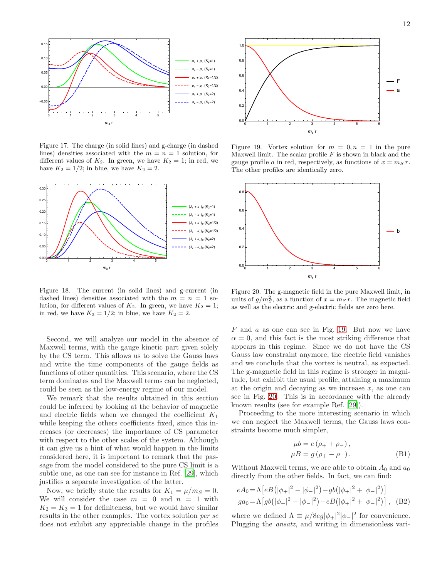

<span id="page-11-0"></span>Figure 17. The charge (in solid lines) and g-charge (in dashed lines) densities associated with the  $m = n = 1$  solution, for different values of  $K_2$ . In green, we have  $K_2 = 1$ ; in red, we have  $K_2 = 1/2$ ; in blue, we have  $K_2 = 2$ .



<span id="page-11-1"></span>Figure 18. The current (in solid lines) and g-current (in dashed lines) densities associated with the  $m = n = 1$  solution, for different values of  $K_2$ . In green, we have  $K_2 = 1$ ; in red, we have  $K_2 = 1/2$ ; in blue, we have  $K_2 = 2$ .

Second, we will analyze our model in the absence of Maxwell terms, with the gauge kinetic part given solely by the CS term. This allows us to solve the Gauss laws and write the time components of the gauge fields as functions of other quantities. This scenario, where the CS term dominates and the Maxwell terms can be neglected, could be seen as the low-energy regime of our model.

We remark that the results obtained in this section could be inferred by looking at the behavior of magnetic and electric fields when we changed the coefficient  $K_1$ while keeping the others coefficients fixed, since this increases (or decreases) the importance of CS parameter with respect to the other scales of the system. Although it can give us a hint of what would happen in the limits considered here, it is important to remark that the passage from the model considered to the pure CS limit is a subtle one, as one can see for instance in Ref. [\[29](#page-14-12)], which justifies a separate investigation of the latter.

Now, we briefly state the results for  $K_1 = \mu/m_s = 0$ . We will consider the case  $m = 0$  and  $n = 1$  with  $K_2 = K_3 = 1$  for definiteness, but we would have similar results in the other examples. The vortex solution per se does not exhibit any appreciable change in the profiles



<span id="page-11-2"></span>Figure 19. Vortex solution for  $m = 0, n = 1$  in the pure Maxwell limit. The scalar profile  $F$  is shown in black and the gauge profile a in red, respectively, as functions of  $x = m_S r$ . The other profiles are identically zero.



<span id="page-11-3"></span>Figure 20. The g-magnetic field in the pure Maxwell limit, in units of  $g/m_S^2$ , as a function of  $x = ms r$ . The magnetic field as well as the electric and g-electric fields are zero here.

 $F$  and  $a$  as one can see in Fig. [19.](#page-11-2) But now we have  $\alpha = 0$ , and this fact is the most striking difference that appears in this regime. Since we do not have the CS Gauss law constraint anymore, the electric field vanishes and we conclude that the vortex is neutral, as expected. The g-magnetic field in this regime is stronger in magnitude, but exhibit the usual profile, attaining a maximum at the origin and decaying as we increase  $x$ , as one can see in Fig. [20.](#page-11-3) This is in accordance with the already known results (see for example Ref. [\[29](#page-14-12)]).

Proceeding to the more interesting scenario in which we can neglect the Maxwell terms, the Gauss laws constraints become much simpler,

$$
\mu b = e (\rho_+ + \rho_-),
$$
  
\n
$$
\mu B = g (\rho_+ - \rho_-).
$$
\n(B1)

Without Maxwell terms, we are able to obtain  $A_0$  and  $a_0$ directly from the other fields. In fact, we can find:

$$
eA_0 = \Lambda \left[ eB \left( |\phi_+|^2 - |\phi_-|^2 \right) - gb \left( |\phi_+|^2 + |\phi_-|^2 \right) \right]
$$
  
\n
$$
ga_0 = \Lambda \left[ gb \left( |\phi_+|^2 - |\phi_-|^2 \right) - eB \left( |\phi_+|^2 + |\phi_-|^2 \right) \right], \quad (B2)
$$

where we defined  $\Lambda \equiv \mu/8eg|\phi_+|^2|\phi_-|^2$  for convenience. Plugging the ansatz, and writing in dimensionless vari-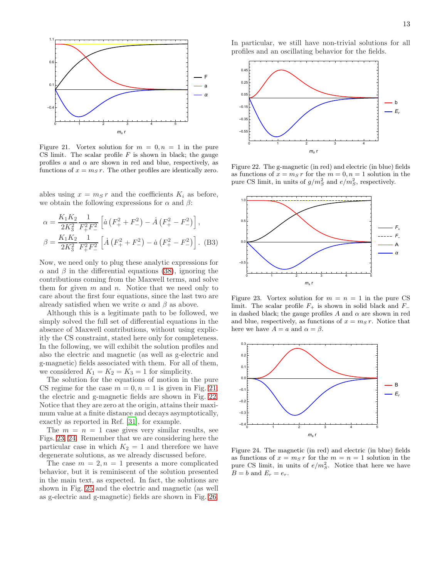

<span id="page-12-0"></span>Figure 21. Vortex solution for  $m = 0, n = 1$  in the pure CS limit. The scalar profile  $F$  is shown in black; the gauge profiles  $a$  and  $\alpha$  are shown in red and blue, respectively, as functions of  $x = m_S r$ . The other profiles are identically zero.

ables using  $x = m_S r$  and the coefficients  $K_i$  as before, we obtain the following expressions for  $\alpha$  and  $\beta$ :

$$
\alpha = \frac{K_1 K_2}{2K_3^2} \frac{1}{F_+^2 F_-^2} \left[ \dot{a} \left( F_+^2 + F_-^2 \right) - \dot{A} \left( F_+^2 - F_-^2 \right) \right],
$$
  

$$
\beta = \frac{K_1 K_2}{2K_3^2} \frac{1}{F_+^2 F_-^2} \left[ \dot{A} \left( F_+^2 + F_-^2 \right) - \dot{a} \left( F_+^2 - F_-^2 \right) \right].
$$
 (B3)

Now, we need only to plug these analytic expressions for  $\alpha$  and  $\beta$  in the differential equations [\(38\)](#page-4-0), ignoring the contributions coming from the Maxwell terms, and solve them for given  $m$  and  $n$ . Notice that we need only to care about the first four equations, since the last two are already satisfied when we write  $\alpha$  and  $\beta$  as above.

Although this is a legitimate path to be followed, we simply solved the full set of differential equations in the absence of Maxwell contributions, without using explicitly the CS constraint, stated here only for completeness. In the following, we will exhibit the solution profiles and also the electric and magnetic (as well as g-electric and g-magnetic) fields associated with them. For all of them, we considered  $K_1 = K_2 = K_3 = 1$  for simplicity.

The solution for the equations of motion in the pure CS regime for the case  $m = 0, n = 1$  is given in Fig. [21;](#page-12-0) the electric and g-magnetic fields are shown in Fig. [22.](#page-12-1) Notice that they are zero at the origin, attains their maximum value at a finite distance and decays asymptotically, exactly as reported in Ref. [\[31\]](#page-14-14), for example.

The  $m = n = 1$  case gives very similar results, see Figs. [23,](#page-12-2) [24.](#page-12-3) Remember that we are considering here the particular case in which  $K_2 = 1$  and therefore we have degenerate solutions, as we already discussed before.

The case  $m = 2, n = 1$  presents a more complicated behavior, but it is reminiscent of the solution presented in the main text, as expected. In fact, the solutions are shown in Fig. [25](#page-13-11) and the electric and magnetic (as well as g-electric and g-magnetic) fields are shown in Fig. [26.](#page-13-12) In particular, we still have non-trivial solutions for all profiles and an oscillating behavior for the fields.



<span id="page-12-1"></span>Figure 22. The g-magnetic (in red) and electric (in blue) fields as functions of  $x = m_S r$  for the  $m = 0, n = 1$  solution in the pure CS limit, in units of  $g/m_S^2$  and  $e/m_S^2$ , respectively.



<span id="page-12-2"></span>Figure 23. Vortex solution for  $m = n = 1$  in the pure CS limit. The scalar profile  $F_+$  is shown in solid black and  $F_+$ in dashed black; the gauge profiles  $A$  and  $\alpha$  are shown in red and blue, respectively, as functions of  $x = m_S r$ . Notice that here we have  $A = a$  and  $\alpha = \beta$ .



<span id="page-12-3"></span>Figure 24. The magnetic (in red) and electric (in blue) fields as functions of  $x = m_S r$  for the  $m = n = 1$  solution in the pure CS limit, in units of  $e/m_S^2$ . Notice that here we have  $B = b$  and  $E_r = e_r$ .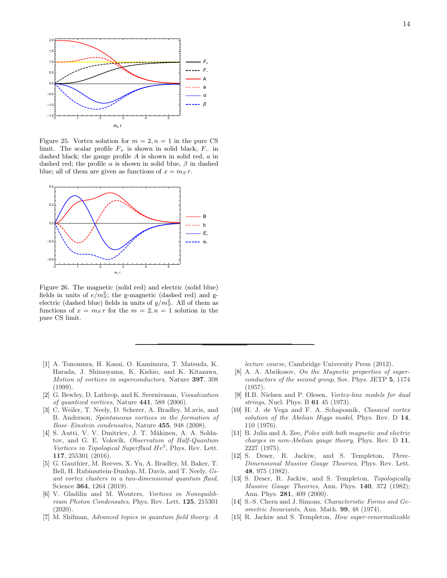

<span id="page-13-11"></span>Figure 25. Vortex solution for  $m = 2, n = 1$  in the pure CS limit. The scalar profile  $F_+$  is shown in solid black,  $F_-\;$  in dashed black; the gauge profile A is shown in solid red, a in dashed red; the profile  $\alpha$  is shown in solid blue,  $\beta$  in dashed blue; all of them are given as functions of  $x = ms r$ .



<span id="page-13-12"></span>Figure 26. The magnetic (solid red) and electric (solid blue) fields in units of  $e/m_S^2$ ; the g-magnetic (dashed red) and gelectric (dashed blue) fields in units of  $g/m_S^2$ . All of them as functions of  $x = m_S r$  for the  $m = 2, n = 1$  solution in the pure CS limit.

- <span id="page-13-0"></span>[1] A. Tonomura, H. Kasai, O. Kamimura, T. Matsuda, K. Harada, J. Shimoyama, K. Kishio, and K. Kitazawa, Motion of vortices in superconductors, Nature 397, 308 (1999).
- [2] G. Bewley, D. Lathrop, and K. Sreenivasan, Visualization of quantized vortices, Nature 441, 588 (2006).
- [3] C. Weiler, T. Neely, D. Scherer, A. Bradley, M.avis, and B. Anderson, Spontaneous vortices in the formation of Bose–Einstein condensates, Nature 455, 948 (2008).
- [4] S. Autti, V. V. Dmitriev, J. T. Mäkinen, A. A. Soldatov, and G. E. Volovik, Observation of Half-Quantum Vortices in Topological Superfluid He<sup>3</sup> , Phys. Rev. Lett. 117, 255301 (2016).
- [5] G. Gauthier, M. Reeves, X. Yu, A. Bradley, M. Baker, T. Bell, H. Rubinsztein-Dunlop, M. Davis, and T. Neely, Giant vortex clusters in a two-dimensional quantum fluid, Science 364, 1264 (2019).
- <span id="page-13-1"></span>[6] V. Gladilin and M. Wouters, Vortices in Nonequilibrium Photon Condensates, Phys. Rev. Lett. 125, 215301 (2020).
- <span id="page-13-2"></span>[7] M. Shifman, Advanced topics in quantum field theory: A

lecture course, Cambridge University Press (2012).

- <span id="page-13-3"></span>[8] A. A. Abrikosov, On the Magnetic properties of superconductors of the second group, Sov. Phys. JETP 5, 1174 (1957).
- <span id="page-13-4"></span>[9] H.B. Nielsen and P. Olesen, Vortex-line models for dual strings, Nucl. Phys. B 61 45 (1973).
- <span id="page-13-5"></span>[10] H. J. de Vega and F. A. Schaposnik, Classical vortex solution of the Abelian Higgs model, Phys. Rev. D 14, 110 (1976).
- <span id="page-13-6"></span>[11] B. Julia and A. Zee, Poles with both magnetic and electric charges in non-Abelian gauge theory, Phys. Rev. D 11, 2227 (1975).
- <span id="page-13-7"></span>[12] S. Deser, R. Jackiw, and S. Templeton, Three-Dimensional Massive Gauge Theories, Phys. Rev. Lett. 48, 975 (1982).
- <span id="page-13-8"></span>[13] S. Deser, R. Jackiw, and S. Templeton, *Topologically* Massive Gauge Theories, Ann. Phys. 140, 372 (1982); Ann. Phys. 281, 409 (2000).
- <span id="page-13-9"></span>[14] S.-S. Chern and J. Simons, Characteristic Forms and Geometric Invariants, Ann. Math. 99, 48 (1974).
- <span id="page-13-10"></span>[15] R. Jackiw and S. Templeton, *How super-renormalizable*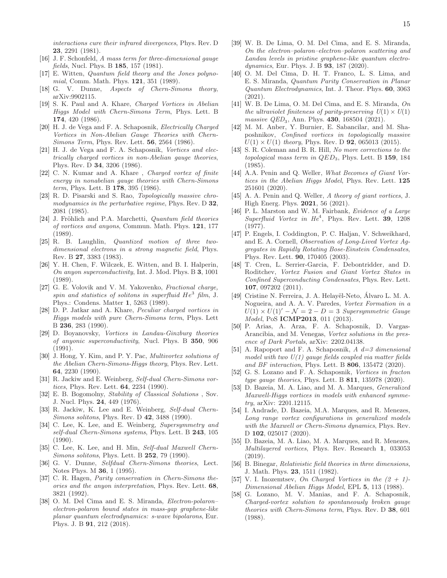interactions cure their infrared divergences, Phys. Rev. D 23, 2291 (1981).

- <span id="page-14-0"></span>[16] J. F. Schonfeld, A mass term for three-dimensional gauge fields, Nucl. Phys. B 185, 157 (1981).
- <span id="page-14-1"></span>[17] E. Witten, Quantum field theory and the Jones polynomial, Comm. Math. Phys. 121, 351 (1989).
- <span id="page-14-2"></span>[18] G. V. Dunne, Aspects of Chern-Simons theory, arXiv:9902115.
- <span id="page-14-3"></span>[19] S. K. Paul and A. Khare, Charged Vortices in Abelian Higgs Model with Chern-Simons Term, Phys. Lett. B 174, 420 (1986).
- <span id="page-14-4"></span>[20] H. J. de Vega and F. A. Schaposnik, Electrically Charged Vortices in Non-Abelian Gauge Theories with Chern-Simons Term, Phys. Rev. Lett. 56, 2564 (1986).
- [21] H. J. de Vega and F. A. Schaposnik, Vortices and electrically charged vortices in non-Abelian gauge theories, Phys. Rev. D 34, 3206 (1986).
- <span id="page-14-5"></span>[22] C. N. Kumar and A. Khare , Charged vortex of finite energy in nonabelian gauge theories with Chern-Simons *term*, Phys. Lett. B  $178$ , 395 (1986).
- <span id="page-14-6"></span>[23] R. D. Pisarski and S. Rao, Topologically massive chromodynamics in the perturbative regime, Phys. Rev.  $D$  32, 2081 (1985).
- <span id="page-14-7"></span>[24] J. Fröhlich and P.A. Marchetti, *Quantum field theories* of vortices and anyons, Commun. Math. Phys. 121, 177 (1989).
- <span id="page-14-8"></span>[25] R. B. Laughlin, Quantized motion of three twodimensional electrons in a strong magnetic field, Phys. Rev. B 27, 3383 (1983).
- <span id="page-14-9"></span>[26] Y. H. Chen, F. Wilczek, E. Witten, and B. I. Halperin, On anyon superconductivity, Int. J. Mod. Phys. B 3, 1001 (1989).
- <span id="page-14-10"></span>[27] G. E. Volovik and V. M. Yakovenko, *Fractional charge*, spin and statistics of solitons in superfluid  $He^3$  film, J. Phys.: Condens. Matter 1, 5263 (1989).
- <span id="page-14-11"></span>[28] D. P. Jatkar and A. Khare, Peculiar charged vortices in Higgs models with pure Chern-Simons term, Phys. Lett B 236, 283 (1990).
- <span id="page-14-12"></span>[29] D. Boyanovsky, Vortices in Landau-Ginzburg theories of anyonic superconductivity, Nucl. Phys. B 350, 906 (1991).
- <span id="page-14-13"></span>[30] J. Hong, Y. Kim, and P. Y. Pac, Multivortex solutions of the Abelian Chern-Simons-Higgs theory, Phys. Rev. Lett. 64, 2230 (1990).
- <span id="page-14-14"></span>[31] R. Jackiw and E. Weinberg, Self-dual Chern-Simons vortices, Phys. Rev. Lett. 64, 2234 (1990).
- <span id="page-14-15"></span>[32] E. B. Bogomolny, Stability of Classical Solutions , Sov. J. Nucl. Phys. 24, 449 (1976).
- <span id="page-14-16"></span>[33] R. Jackiw, K. Lee and E. Weinberg, Self-dual Chern-Simons solitons, Phys. Rev. D 42, 3488 (1990).
- <span id="page-14-17"></span>[34] C. Lee, K. Lee, and E. Weinberg, Supersymmetry and self-dual Chern-Simons systems, Phys. Lett. B 243, 105 (1990).
- <span id="page-14-18"></span>[35] C. Lee, K. Lee, and H. Min, Self-dual Maxwell Chern-Simons solitons, Phys. Lett. B 252, 79 (1990).
- <span id="page-14-19"></span>[36] G. V. Dunne, Selfdual Chern-Simons theories, Lect. Notes Phys. M 36, 1 (1995).
- <span id="page-14-20"></span>[37] C. R. Hagen, Parity conservation in Chern-Simons theories and the anyon interpretation, Phys. Rev. Lett. 68, 3821 (1992).
- <span id="page-14-21"></span>[38] O. M. Del Cima and E. S. Miranda, *Electron-polaron–* electron-polaron bound states in mass-gap graphene-like planar quantum electrodynamics: s-wave bipolarons, Eur. Phys. J. B 91, 212 (2018).
- <span id="page-14-22"></span>[39] W. B. De Lima, O. M. Del Cima, and E. S. Miranda, On the electron–polaron–electron–polaron scattering and Landau levels in pristine graphene-like quantum electrodynamics, Eur. Phys. J. B 93, 187 (2020).
- <span id="page-14-23"></span>[40] O. M. Del Cima, D. H. T. Franco, L. S. Lima, and E. S. Miranda, Quantum Parity Conservation in Planar Quantum Electrodynamics, Int. J. Theor. Phys. 60, 3063 (2021).
- <span id="page-14-24"></span>[41] W. B. De Lima, O. M. Del Cima, and E. S. Miranda, On the ultraviolet finiteness of parity-preserving  $U(1) \times U(1)$ *massive QED*<sub>3</sub>, Ann. Phys. **430**, 168504 (2021).
- <span id="page-14-25"></span>[42] M. M. Anber, Y. Burnier, E. Sabancilar, and M. Shaposhnikov, Confined vortices in topologically massive  $U(1) \times U(1)$  theory, Phys. Rev. D **92**, 065013 (2015).
- <span id="page-14-26"></span>[43] S. R. Coleman and B. R. Hill, No more corrections to the topological mass term in  $QED_3$ , Phys. Lett. B 159, 184 (1985).
- <span id="page-14-27"></span>[44] A.A. Penin and Q. Weller, What Becomes of Giant Vortices in the Abelian Higgs Model, Phys. Rev. Lett. 125 251601 (2020).
- <span id="page-14-28"></span>[45] A. A. Penin and Q. Weller, A theory of giant vortices, J. High Energ. Phys. 2021, 56 (2021).
- <span id="page-14-29"></span>[46] P. L. Marston and W. M. Fairbank, *Evidence of a Large* Superfluid Vortex in  $He^4$ , Phys. Rev. Lett. 39, 1208 (1977).
- [47] P. Engels, I. Coddington, P. C. Haljan, V. Schweikhard, and E. A. Cornell, Observation of Long-Lived Vortex Aggregates in Rapidly Rotating Bose-Einstein Condensates, Phys. Rev. Lett. 90, 170405 (2003).
- <span id="page-14-30"></span>[48] T. Cren, L. Serrier-Garcia, F. Debontridder, and D. Roditchev, Vortex Fusion and Giant Vortex States in Confined Superconducting Condensates, Phys. Rev. Lett. 107, 097202 (2011).
- <span id="page-14-31"></span>[49] Cristine N. Ferreira, J. A. Helayël-Neto, Alvaro L. M. A. Nogueira, and A. A. V. Paredes, Vortex Formation in a  $U(1) \times U(1)' - \mathcal{N} = 2 - D = 3$  Supersymmetric Gauge Model, PoS ICMP2013, 011 (2013).
- <span id="page-14-32"></span>[50] P. Arias, A. Arza, F. A. Schaposnik, D. Vargas-Arancibia, and M. Venegas, Vortex solutions in the presence of Dark Portals, arXiv: 2202.04138.
- [51] A. Rapoport and F. A. Schaposnik,  $A \neq 3$  dimensional model with two  $U(1)$  gauge fields coupled via matter fields and BF interaction, Phys. Lett. B 806, 135472 (2020).
- [52] G. S. Lozano and F. A. Schaposnik, Vortices in fracton type gauge theories, Phys. Lett. B 811, 135978 (2020).
- [53] D. Bazeia, M. A. Liao, and M. A. Marques, Generalized Maxwell-Higgs vortices in models with enhanced symmetry, arXiv: 2201.12115.
- [54] I. Andrade, D. Bazeia, M.A. Marques, and R. Menezes, Long range vortex configurations in generalized models with the Maxwell or Chern-Simons dynamics, Phys. Rev. D 102, 025017 (2020).
- <span id="page-14-33"></span>[55] D. Bazeia, M. A. Liao, M. A. Marques, and R. Menezes, Multilayered vortices, Phys. Rev. Research 1, 033053 (2019).
- <span id="page-14-34"></span>[56] B. Binegar, Relativistic field theories in three dimensions, J. Math. Phys. 23, 1511 (1982).
- <span id="page-14-35"></span>[57] V. I. Inozemtsev, On Charged Vortices in the  $(2 + 1)$ -Dimensional Abelian Higgs Model, EPL 5, 113 (1988).
- <span id="page-14-36"></span>[58] G. Lozano, M. V. Manias, and F. A. Schaposnik, Charged-vortex solution to spontaneously broken gauge theories with Chern-Simons term, Phys. Rev. D 38, 601 (1988).